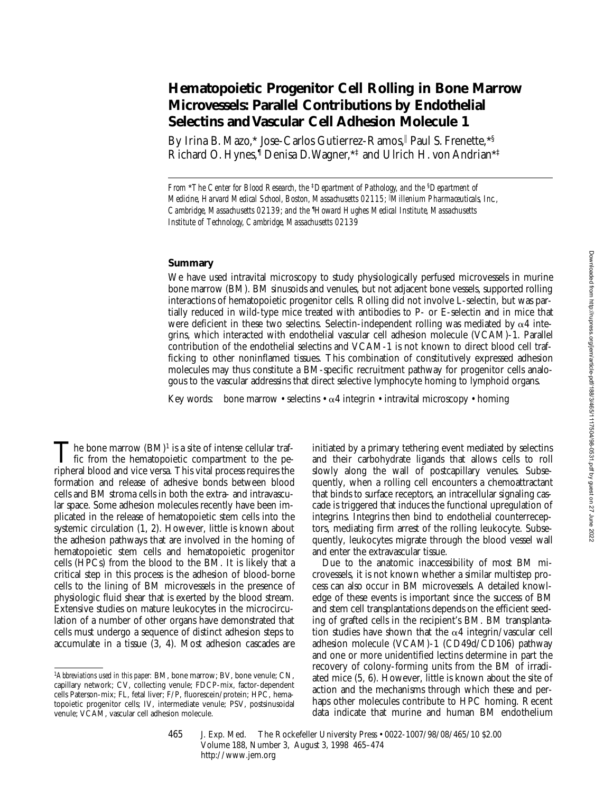# **Hematopoietic Progenitor Cell Rolling in Bone Marrow Microvessels: Parallel Contributions by Endothelial Selectins and Vascular Cell Adhesion Molecule 1**

By Irina B. Mazo,\* Jose-Carlos Gutierrez-Ramos,|| Paul S. Frenette,\*§ Richard O. Hynes,¶ Denisa D. Wagner,\*‡ and Ulrich H. von Andrian\*‡

*From* \**The Center for Blood Research, the* ‡*Department of Pathology, and the* §*Department of Medicine, Harvard Medical School, Boston, Massachusetts 02115;* <sup>i</sup> *Millenium Pharmaceuticals, Inc., Cambridge, Massachusetts 02139; and the* ¶ *Howard Hughes Medical Institute, Massachusetts Institute of Technology, Cambridge, Massachusetts 02139*

## **Summary**

We have used intravital microscopy to study physiologically perfused microvessels in murine bone marrow (BM). BM sinusoids and venules, but not adjacent bone vessels, supported rolling interactions of hematopoietic progenitor cells. Rolling did not involve L-selectin, but was partially reduced in wild-type mice treated with antibodies to P- or E-selectin and in mice that were deficient in these two selectins. Selectin-independent rolling was mediated by  $\alpha$ 4 integrins, which interacted with endothelial vascular cell adhesion molecule (VCAM)-1. Parallel contribution of the endothelial selectins and VCAM-1 is not known to direct blood cell trafficking to other noninflamed tissues. This combination of constitutively expressed adhesion molecules may thus constitute a BM-specific recruitment pathway for progenitor cells analogous to the vascular addressins that direct selective lymphocyte homing to lymphoid organs.

Key words: bone marrow • selectins •  $\alpha$ 4 integrin • intravital microscopy • homing

The bone marrow  $(BM)^1$  is a site of intense cellular traf-<br>fic from the hematopoietic compartment to the pe-<br>winkers klass of and site waves. This site is necessary service the ripheral blood and vice versa. This vital process requires the formation and release of adhesive bonds between blood cells and BM stroma cells in both the extra- and intravascular space. Some adhesion molecules recently have been implicated in the release of hematopoietic stem cells into the systemic circulation (1, 2). However, little is known about the adhesion pathways that are involved in the homing of hematopoietic stem cells and hematopoietic progenitor cells (HPCs) from the blood to the BM. It is likely that a critical step in this process is the adhesion of blood-borne cells to the lining of BM microvessels in the presence of physiologic fluid shear that is exerted by the blood stream. Extensive studies on mature leukocytes in the microcirculation of a number of other organs have demonstrated that cells must undergo a sequence of distinct adhesion steps to accumulate in a tissue (3, 4). Most adhesion cascades are initiated by a primary tethering event mediated by selectins and their carbohydrate ligands that allows cells to roll slowly along the wall of postcapillary venules. Subsequently, when a rolling cell encounters a chemoattractant that binds to surface receptors, an intracellular signaling cascade is triggered that induces the functional upregulation of integrins. Integrins then bind to endothelial counterreceptors, mediating firm arrest of the rolling leukocyte. Subsequently, leukocytes migrate through the blood vessel wall and enter the extravascular tissue.

Due to the anatomic inaccessibility of most BM microvessels, it is not known whether a similar multistep process can also occur in BM microvessels. A detailed knowledge of these events is important since the success of BM and stem cell transplantations depends on the efficient seeding of grafted cells in the recipient's BM. BM transplantation studies have shown that the  $\alpha$ 4 integrin/vascular cell adhesion molecule (VCAM)-1 (CD49d/CD106) pathway and one or more unidentified lectins determine in part the recovery of colony-forming units from the BM of irradiated mice (5, 6). However, little is known about the site of action and the mechanisms through which these and perhaps other molecules contribute to HPC homing. Recent data indicate that murine and human BM endothelium

<sup>1</sup>*Abbreviations used in this paper:* BM, bone marrow; BV, bone venule; CN, capillary network; CV, collecting venule; FDCP-mix, factor-dependent cells Paterson-mix; FL, fetal liver; F/P, fluorescein/protein; HPC, hematopoietic progenitor cells; IV, intermediate venule; PSV, postsinusoidal venule; VCAM, vascular cell adhesion molecule.

<sup>465</sup> J. Exp. Med. © The Rockefeller University Press • 0022-1007/98/08/465/10 \$2.00 Volume 188, Number 3, August 3, 1998 465–474 http://www.jem.org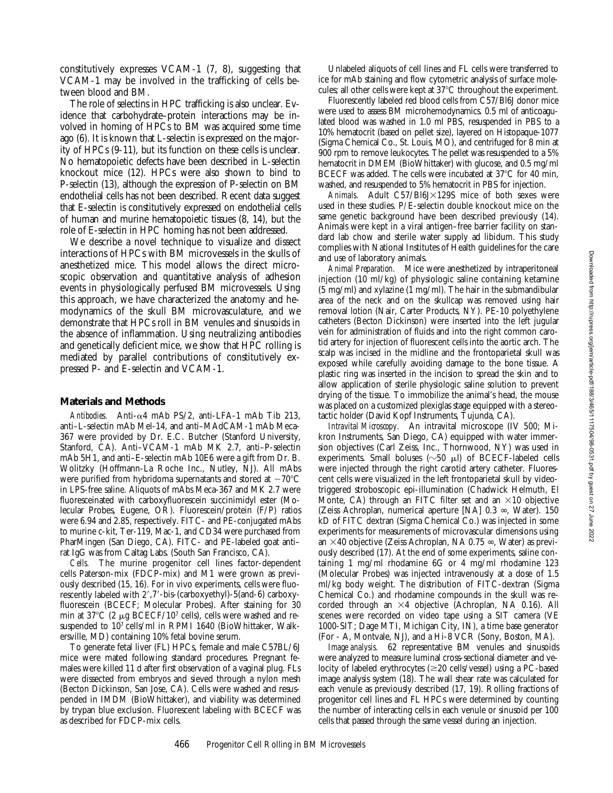constitutively expresses VCAM-1 (7, 8), suggesting that VCAM-1 may be involved in the trafficking of cells between blood and BM.

The role of selectins in HPC trafficking is also unclear. Evidence that carbohydrate–protein interactions may be involved in homing of HPCs to BM was acquired some time ago (6). It is known that L-selectin is expressed on the majority of HPCs (9-11), but its function on these cells is unclear. No hematopoietic defects have been described in L-selectin knockout mice (12). HPCs were also shown to bind to P-selectin (13), although the expression of P-selectin on BM endothelial cells has not been described. Recent data suggest that E-selectin is constitutively expressed on endothelial cells of human and murine hematopoietic tissues (8, 14), but the role of E-selectin in HPC homing has not been addressed.

We describe a novel technique to visualize and dissect interactions of HPCs with BM microvessels in the skulls of anesthetized mice. This model allows the direct microscopic observation and quantitative analysis of adhesion events in physiologically perfused BM microvessels. Using this approach, we have characterized the anatomy and hemodynamics of the skull BM microvasculature, and we demonstrate that HPCs roll in BM venules and sinusoids in the absence of inflammation. Using neutralizing antibodies and genetically deficient mice, we show that HPC rolling is mediated by parallel contributions of constitutively expressed P- and E-selectin and VCAM-1.

#### **Materials and Methods**

Antibodies. Anti- $\alpha$ 4 mAb PS/2, anti-LFA-1 mAb Tib 213, anti–L-selectin mAb Mel-14, and anti–MAdCAM-1 mAb Meca-367 were provided by Dr. E.C. Butcher (Stanford University, Stanford, CA). Anti–VCAM-1 mAb MK 2.7, anti–P-selectin mAb 5H1, and anti–E-selectin mAb 10E6 were a gift from Dr. B. Wolitzky (Hoffmann-La Roche Inc., Nutley, NJ). All mAbs were purified from hybridoma supernatants and stored at  $-70^{\circ}$ C in LPS-free saline. Aliquots of mAbs Meca-367 and MK 2.7 were fluoresceinated with carboxyfluorescein succinimidyl ester (Molecular Probes, Eugene, OR). Fluorescein/protein (F/P) ratios were 6.94 and 2.85, respectively. FITC- and PE-conjugated mAbs to murine c-kit, Ter-119, Mac-1, and CD34 were purchased from PharMingen (San Diego, CA). FITC- and PE-labeled goat anti– rat IgG was from Caltag Labs. (South San Francisco, CA).

*Cells.* The murine progenitor cell lines factor-dependent cells Paterson-mix (FDCP-mix) and M1 were grown as previously described (15, 16). For in vivo experiments, cells were fluorescently labeled with 2',7'-bis-(carboxyethyl)-5(and-6) carboxyfluorescein (BCECF; Molecular Probes). After staining for 30 min at 37 $\rm{C}$  (2  $\mu$ g BCECF/10<sup>7</sup> cells), cells were washed and resuspended to 107 cells/ml in RPMI 1640 (BioWhittaker, Walkersville, MD) containing 10% fetal bovine serum.

To generate fetal liver (FL) HPCs, female and male C57BL/6J mice were mated following standard procedures. Pregnant females were killed 11 d after first observation of a vaginal plug. FLs were dissected from embryos and sieved through a nylon mesh (Becton Dickinson, San Jose, CA). Cells were washed and resuspended in IMDM (BioWhittaker), and viability was determined by trypan blue exclusion. Fluorescent labeling with BCECF was as described for FDCP-mix cells.

Unlabeled aliquots of cell lines and FL cells were transferred to ice for mAb staining and flow cytometric analysis of surface molecules; all other cells were kept at  $37^{\circ}$ C throughout the experiment.

Fluorescently labeled red blood cells from C57/Bl6J donor mice were used to assess BM microhemodynamics. 0.5 ml of anticoagulated blood was washed in 1.0 ml PBS, resuspended in PBS to a 10% hematocrit (based on pellet size), layered on Histopaque-1077 (Sigma Chemical Co., St. Louis, MO), and centrifuged for 8 min at 900 rpm to remove leukocytes. The pellet was resuspended to a 5% hematocrit in DMEM (BioWhittaker) with glucose, and 0.5 mg/ml BCECF was added. The cells were incubated at  $37^{\circ}$ C for 40 min, washed, and resuspended to 5% hematocrit in PBS for injection.

Animals. Adult C57/Bl6J×129S mice of both sexes were used in these studies. P*/*E-selectin double knockout mice on the same genetic background have been described previously (14). Animals were kept in a viral antigen–free barrier facility on standard lab chow and sterile water supply ad libidum. This study complies with National Institutes of Health guidelines for the care and use of laboratory animals.

*Animal Preparation.* Mice were anesthetized by intraperitoneal injection (10 ml/kg) of physiologic saline containing ketamine (5 mg/ml) and xylazine (1 mg/ml). The hair in the submandibular area of the neck and on the skullcap was removed using hair removal lotion (Nair, Carter Products, NY). PE-10 polyethylene catheters (Becton Dickinson) were inserted into the left jugular vein for administration of fluids and into the right common carotid artery for injection of fluorescent cells into the aortic arch. The scalp was incised in the midline and the frontoparietal skull was exposed while carefully avoiding damage to the bone tissue. A plastic ring was inserted in the incision to spread the skin and to allow application of sterile physiologic saline solution to prevent drying of the tissue. To immobilize the animal's head, the mouse was placed on a customized plexiglas stage equipped with a stereotactic holder (David Kopf Instruments, Tujunda, CA).

*Intravital Microscopy.* An intravital microscope (IV 500; Mikron Instruments, San Diego, CA) equipped with water immersion objectives (Carl Zeiss, Inc., Thornwood, NY) was used in experiments. Small boluses ( $\sim$ 50  $\mu$ l) of BCECF-labeled cells were injected through the right carotid artery catheter. Fluorescent cells were visualized in the left frontoparietal skull by videotriggered stroboscopic epi-illumination (Chadwick Helmuth, El Monte, CA) through an FITC filter set and an  $\times 10$  objective (Zeiss Achroplan, numerical aperture [NA] 0.3 ∞, Water). 150 kD of FITC dextran (Sigma Chemical Co.) was injected in some experiments for measurements of microvascular dimensions using an  $\times$ 40 objective (Zeiss Achroplan, NA 0.75  $\infty$ , Water) as previously described (17). At the end of some experiments, saline containing 1 mg/ml rhodamine 6G or 4 mg/ml rhodamine 123 (Molecular Probes) was injected intravenously at a dose of 1.5 ml/kg body weight. The distribution of FITC-dextran (Sigma Chemical Co.) and rhodamine compounds in the skull was recorded through an  $\times$ 4 objective (Achroplan, NA 0.16). All scenes were recorded on video tape using a SIT camera (VE 1000-SIT; Dage MTI, Michigan City, IN), a time base generator (For - A, Montvale, NJ), and a Hi-8 VCR (Sony, Boston, MA).

*Image analysis.* 62 representative BM venules and sinusoids were analyzed to measure luminal cross-sectional diameter and velocity of labeled erythrocytes  $(\geq 20 \text{ cells/vessel})$  using a PC-based image analysis system (18). The wall shear rate was calculated for each venule as previously described (17, 19). Rolling fractions of progenitor cell lines and FL HPCs were determined by counting the number of interacting cells in each venule or sinusoid per 100 cells that passed through the same vessel during an injection.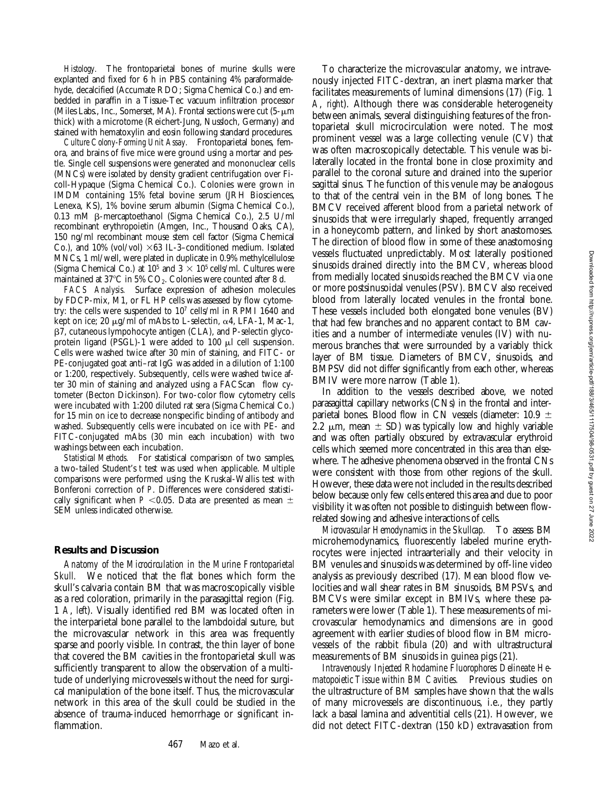*Histology.* The frontoparietal bones of murine skulls were explanted and fixed for 6 h in PBS containing 4% paraformaldehyde, decalcified (Accumate RDO; Sigma Chemical Co.) and embedded in paraffin in a Tissue-Tec vacuum infiltration processor (Miles Labs., Inc., Somerset, MA). Frontal sections were cut  $(5-\mu m)$ thick) with a microtome (Reichert-Jung, Nussloch, Germany) and stained with hematoxylin and eosin following standard procedures.

*Culture Colony-Forming Unit Assay.* Frontoparietal bones, femora, and brains of five mice were ground using a mortar and pestle. Single cell suspensions were generated and mononuclear cells (MNCs) were isolated by density gradient centrifugation over Ficoll-Hypaque (Sigma Chemical Co.). Colonies were grown in IMDM containing 15% fetal bovine serum (JRH Biosciences, Lenexa, KS), 1% bovine serum albumin (Sigma Chemical Co.), 0.13 mM b-mercaptoethanol (Sigma Chemical Co.), 2.5 U/ml recombinant erythropoietin (Amgen, Inc., Thousand Oaks, CA), 150 ng/ml recombinant mouse stem cell factor (Sigma Chemical Co.), and 10% (vol/vol)  $\times 63$  IL-3-conditioned medium. Isolated MNCs, 1 ml/well, were plated in duplicate in 0.9% methylcellulose (Sigma Chemical Co.) at  $10^5$  and  $3 \times 10^5$  cells/ml. Cultures were maintained at  $37^{\circ}$ C in 5% CO<sub>2</sub>. Colonies were counted after 8 d.

*FACS Analysis.* Surface expression of adhesion molecules by FDCP-mix, M1, or FL HP cells was assessed by flow cytometry: the cells were suspended to 107 cells/ml in RPMI 1640 and kept on ice; 20  $\mu$ g/ml of mAbs to L-selectin,  $\alpha$ 4, LFA-1, Mac-1, b7, cutaneous lympohocyte antigen (CLA), and P-selectin glycoprotein ligand (PSGL)-1 were added to 100  $\mu$ l cell suspension. Cells were washed twice after 30 min of staining, and FITC- or PE-conjugated goat anti–rat IgG was added in a dilution of 1:100 or 1:200, respectively. Subsequently, cells were washed twice after 30 min of staining and analyzed using a FACScan® flow cytometer (Becton Dickinson). For two-color flow cytometry cells were incubated with 1:200 diluted rat sera (Sigma Chemical Co.) for 15 min on ice to decrease nonspecific binding of antibody and washed. Subsequently cells were incubated on ice with PE- and FITC-conjugated mAbs (30 min each incubation) with two washings between each incubation.

*Statistical Methods.* For statistical comparison of two samples, a two-tailed Student's *t* test was used when applicable. Multiple comparisons were performed using the Kruskal-Wallis test with Bonferoni correction of *P*. Differences were considered statistically significant when  $P < 0.05$ . Data are presented as mean  $\pm$ SEM unless indicated otherwise.

## **Results and Discussion**

*Anatomy of the Microcirculation in the Murine Frontoparietal Skull.* We noticed that the flat bones which form the skull's calvaria contain BM that was macroscopically visible as a red coloration, primarily in the parasagittal region (Fig. 1 *A*, *left*). Visually identified red BM was located often in the interparietal bone parallel to the lambdoidal suture, but the microvascular network in this area was frequently sparse and poorly visible. In contrast, the thin layer of bone that covered the BM cavities in the frontoparietal skull was sufficiently transparent to allow the observation of a multitude of underlying microvessels without the need for surgical manipulation of the bone itself. Thus, the microvascular network in this area of the skull could be studied in the absence of trauma-induced hemorrhage or significant inflammation.

To characterize the microvascular anatomy, we intravenously injected FITC-dextran, an inert plasma marker that facilitates measurements of luminal dimensions (17) (Fig. 1 *A*, *right*). Although there was considerable heterogeneity between animals, several distinguishing features of the frontoparietal skull microcirculation were noted. The most prominent vessel was a large collecting venule (CV) that was often macroscopically detectable. This venule was bilaterally located in the frontal bone in close proximity and parallel to the coronal suture and drained into the superior sagittal sinus. The function of this venule may be analogous to that of the central vein in the BM of long bones. The BMCV received afferent blood from a parietal network of sinusoids that were irregularly shaped, frequently arranged in a honeycomb pattern, and linked by short anastomoses. The direction of blood flow in some of these anastomosing vessels fluctuated unpredictably. Most laterally positioned sinusoids drained directly into the BMCV, whereas blood from medially located sinusoids reached the BMCV via one or more postsinusoidal venules (PSV). BMCV also received blood from laterally located venules in the frontal bone. These vessels included both elongated bone venules (BV) that had few branches and no apparent contact to BM cavities and a number of intermediate venules (IV) with numerous branches that were surrounded by a variably thick layer of BM tissue. Diameters of BMCV, sinusoids, and BMPSV did not differ significantly from each other, whereas BMIV were more narrow (Table 1).

In addition to the vessels described above, we noted parasagittal capillary networks (CNs) in the frontal and interparietal bones. Blood flow in CN vessels (diameter: 10.9  $\pm$ 2.2  $\mu$ m, mean  $\pm$  SD) was typically low and highly variable and was often partially obscured by extravascular erythroid cells which seemed more concentrated in this area than elsewhere. The adhesive phenomena observed in the frontal CNs were consistent with those from other regions of the skull. However, these data were not included in the results described below because only few cells entered this area and due to poor visibility it was often not possible to distinguish between flowrelated slowing and adhesive interactions of cells.

*Microvascular Hemodynamics in the Skullcap.* To assess BM microhemodynamics, fluorescently labeled murine erythrocytes were injected intraarterially and their velocity in BM venules and sinusoids was determined by off-line video analysis as previously described (17). Mean blood flow velocities and wall shear rates in BM sinusoids, BMPSVs, and BMCVs were similar except in BMIVs, where these parameters were lower (Table 1). These measurements of microvascular hemodynamics and dimensions are in good agreement with earlier studies of blood flow in BM microvessels of the rabbit fibula (20) and with ultrastructural measurements of BM sinusoids in guinea pigs (21).

*Intravenously Injected Rhodamine Fluorophores Delineate Hematopoietic Tissue within BM Cavities.* Previous studies on the ultrastructure of BM samples have shown that the walls of many microvessels are discontinuous, i.e., they partly lack a basal lamina and adventitial cells (21). However, we did not detect FITC-dextran (150 kD) extravasation from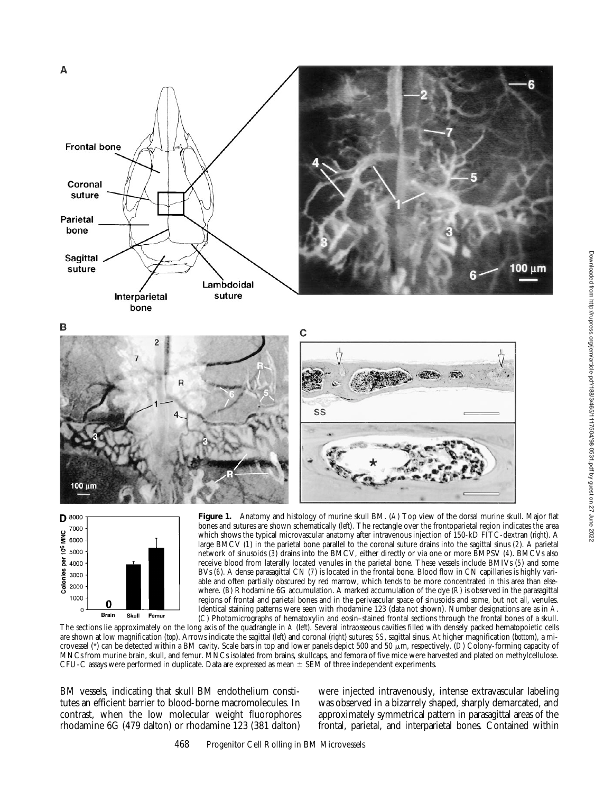



**Figure 1.** Anatomy and histology of murine skull BM. (*A*) Top view of the dorsal murine skull. Major flat bones and sutures are shown schematically (*left*). The rectangle over the frontoparietal region indicates the area which shows the typical microvascular anatomy after intravenous injection of 150-kD FITC-dextran (*right*). A large BMCV (*1*) in the parietal bone parallel to the coronal suture drains into the sagittal sinus (*2*). A parietal network of sinusoids (*3*) drains into the BMCV, either directly or via one or more BMPSV (*4*). BMCVs also receive blood from laterally located venules in the parietal bone. These vessels include BMIVs (*5*) and some BVs (*6*). A dense parasagittal CN (*7*) is located in the frontal bone. Blood flow in CN capillaries is highly variable and often partially obscured by red marrow, which tends to be more concentrated in this area than elsewhere. (*B*) Rhodamine 6G accumulation. A marked accumulation of the dye (*R*) is observed in the parasagittal regions of frontal and parietal bones and in the perivascular space of sinusoids and some, but not all, venules. Identical staining patterns were seen with rhodamine 123 (data not shown). Number designations are as in *A*. (*C*) Photomicrographs of hematoxylin and eosin–stained frontal sections through the frontal bones of a skull.

The sections lie approximately on the long axis of the quadrangle in *A* (*left*). Several intraosseous cavities filled with densely packed hematopoietic cells are shown at low magnification (*top*). Arrows indicate the sagittal (*left*) and coronal (*right*) sutures; *SS*, sagittal sinus. At higher magnification (*bottom*), a microvessel (\*) can be detected within a BM cavity. Scale bars in top and lower panels depict 500 and 50  $\mu$ m, respectively. (*D*) Colony-forming capacity of MNCs from murine brain, skull, and femur. MNCs isolated from brains, skullcaps, and femora of five mice were harvested and plated on methylcellulose. CFU-C assays were performed in duplicate. Data are expressed as mean  $\pm$  SEM of three independent experiments.

BM vessels, indicating that skull BM endothelium constitutes an efficient barrier to blood-borne macromolecules. In contrast, when the low molecular weight fluorophores rhodamine 6G (479 dalton) or rhodamine 123 (381 dalton)

were injected intravenously, intense extravascular labeling was observed in a bizarrely shaped, sharply demarcated, and approximately symmetrical pattern in parasagittal areas of the frontal, parietal, and interparietal bones. Contained within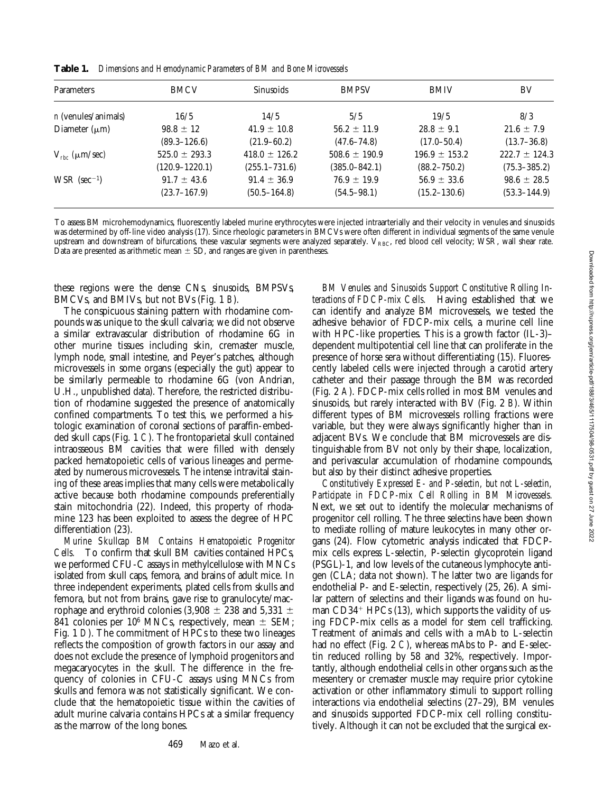**Table 1.** *Dimensions and Hemodynamic Parameters of BM and Bone Microvessels*

| <b>Parameters</b>               | <b>BMCV</b>        | <b>Sinusoids</b>  | <b>BMPSV</b>      | <b>BMIV</b>       | BV                |
|---------------------------------|--------------------|-------------------|-------------------|-------------------|-------------------|
| <i>n</i> (venules/animals)      | 16/5               | 14/5              | 5/5               | 19/5              | 8/3               |
| Diameter $(\mu m)$              | $98.8 \pm 12$      | $41.9 \pm 10.8$   | $56.2 \pm 11.9$   | $28.8 \pm 9.1$    | $21.6 \pm 7.9$    |
|                                 | $(89.3 - 126.6)$   | $(21.9 - 60.2)$   | $(47.6 - 74.8)$   | $(17.0 - 50.4)$   | $(13.7 - 36.8)$   |
| $V_{\text{rbc}}$ ( $\mu$ m/sec) | $525.0 \pm 293.3$  | $418.0 \pm 126.2$ | $508.6 \pm 190.9$ | $196.9 \pm 153.2$ | $222.7 \pm 124.3$ |
|                                 | $(120.9 - 1220.1)$ | $(255.1 - 731.6)$ | $(385.0 - 842.1)$ | $(88.2 - 750.2)$  | $(75.3 - 385.2)$  |
| $WSR$ (sec <sup>-1</sup> )      | $91.7 \pm 43.6$    | $91.4 \pm 36.9$   | $76.9 \pm 19.9$   | $56.9 \pm 33.6$   | $98.6 \pm 28.5$   |
|                                 | $(23.7 - 167.9)$   | $(50.5 - 164.8)$  | $(54.5 - 98.1)$   | $(15.2 - 130.6)$  | $(53.3 - 144.9)$  |

To assess BM microhemodynamics, fluorescently labeled murine erythrocytes were injected intraarterially and their velocity in venules and sinusoids was determined by off-line video analysis (17). Since rheologic parameters in BMCVs were often different in individual segments of the same venule upstream and downstream of bifurcations, these vascular segments were analyzed separately.  $V_{RBC}$ , red blood cell velocity; WSR, wall shear rate. Data are presented as arithmetic mean  $\pm$  SD, and ranges are given in parentheses.

these regions were the dense CNs, sinusoids, BMPSVs, BMCVs, and BMIVs, but not BVs (Fig. 1 *B*).

The conspicuous staining pattern with rhodamine compounds was unique to the skull calvaria; we did not observe a similar extravascular distribution of rhodamine 6G in other murine tissues including skin, cremaster muscle, lymph node, small intestine, and Peyer's patches, although microvessels in some organs (especially the gut) appear to be similarly permeable to rhodamine 6G (von Andrian, U.H., unpublished data). Therefore, the restricted distribution of rhodamine suggested the presence of anatomically confined compartments. To test this, we performed a histologic examination of coronal sections of paraffin-embedded skull caps (Fig. 1 *C*). The frontoparietal skull contained intraosseous BM cavities that were filled with densely packed hematopoietic cells of various lineages and permeated by numerous microvessels. The intense intravital staining of these areas implies that many cells were metabolically active because both rhodamine compounds preferentially stain mitochondria (22). Indeed, this property of rhodamine 123 has been exploited to assess the degree of HPC differentiation (23).

*Murine Skullcap BM Contains Hematopoietic Progenitor Cells.* To confirm that skull BM cavities contained HPCs, we performed CFU-C assays in methylcellulose with MNCs isolated from skull caps, femora, and brains of adult mice. In three independent experiments, plated cells from skulls and femora, but not from brains, gave rise to granulocyte/macrophage and erythroid colonies (3,908  $\pm$  238 and 5,331  $\pm$ 841 colonies per 10<sup>6</sup> MNCs, respectively, mean  $\pm$  SEM; Fig. 1 *D*). The commitment of HPCs to these two lineages reflects the composition of growth factors in our assay and does not exclude the presence of lymphoid progenitors and megacaryocytes in the skull. The difference in the frequency of colonies in CFU-C assays using MNCs from skulls and femora was not statistically significant. We conclude that the hematopoietic tissue within the cavities of adult murine calvaria contains HPCs at a similar frequency as the marrow of the long bones.

*BM Venules and Sinusoids Support Constitutive Rolling Interactions of FDCP-mix Cells.* Having established that we can identify and analyze BM microvessels, we tested the adhesive behavior of FDCP-mix cells, a murine cell line with HPC-like properties. This is a growth factor (IL-3)– dependent multipotential cell line that can proliferate in the presence of horse sera without differentiating (15). Fluorescently labeled cells were injected through a carotid artery catheter and their passage through the BM was recorded (Fig. 2 *A*). FDCP-mix cells rolled in most BM venules and sinusoids, but rarely interacted with BV (Fig. 2 *B*). Within different types of BM microvessels rolling fractions were variable, but they were always significantly higher than in adjacent BVs. We conclude that BM microvessels are distinguishable from BV not only by their shape, localization, and perivascular accumulation of rhodamine compounds, but also by their distinct adhesive properties.

*Constitutively Expressed E- and P-selectin, but not L-selectin, Participate in FDCP-mix Cell Rolling in BM Microvessels.* Next, we set out to identify the molecular mechanisms of progenitor cell rolling. The three selectins have been shown to mediate rolling of mature leukocytes in many other organs (24). Flow cytometric analysis indicated that FDCPmix cells express L-selectin, P-selectin glycoprotein ligand (PSGL)-1, and low levels of the cutaneous lymphocyte antigen (CLA; data not shown). The latter two are ligands for endothelial P- and E-selectin, respectively (25, 26). A similar pattern of selectins and their ligands was found on human  $CD34+HPCs$  (13), which supports the validity of using FDCP-mix cells as a model for stem cell trafficking. Treatment of animals and cells with a mAb to L-selectin had no effect (Fig. 2 *C*), whereas mAbs to P- and E-selectin reduced rolling by 58 and 32%, respectively. Importantly, although endothelial cells in other organs such as the mesentery or cremaster muscle may require prior cytokine activation or other inflammatory stimuli to support rolling interactions via endothelial selectins (27–29), BM venules and sinusoids supported FDCP-mix cell rolling constitutively. Although it can not be excluded that the surgical ex-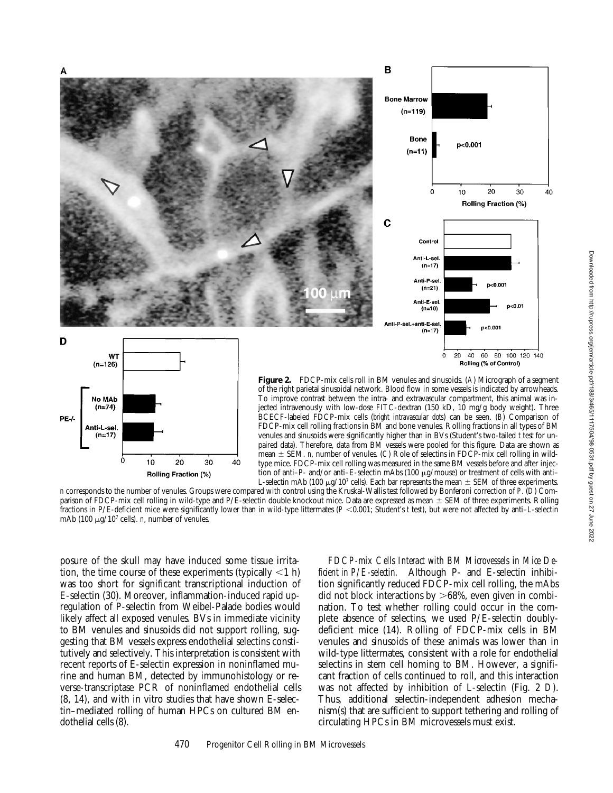

*n* corresponds to the number of venules. Groups were compared with control using the Kruskal-Wallis test followed by Bonferoni correction of *P*. (*D*) Comparison of FDCP-mix cell rolling in wild-type and P/E-selectin double knockout mice. Data are expressed as mean  $\pm$  SEM of three experiments. Rolling fractions in P/E-deficient mice were significantly lower than in wild-type littermates ( $P$  <0.001; Student's *t* test), but were not affected by anti–L-selectin mAb (100  $\mu$ g/10<sup>7</sup> cells). *n*, number of venules.

posure of the skull may have induced some tissue irritation, the time course of these experiments (typically  $\langle 1 \text{ h} \rangle$ ) was too short for significant transcriptional induction of E-selectin (30). Moreover, inflammation-induced rapid upregulation of P-selectin from Weibel-Palade bodies would likely affect all exposed venules. BVs in immediate vicinity to BM venules and sinusoids did not support rolling, suggesting that BM vessels express endothelial selectins constitutively and selectively. This interpretation is consistent with recent reports of E-selectin expression in noninflamed murine and human BM, detected by immunohistology or reverse-transcriptase PCR of noninflamed endothelial cells (8, 14), and with in vitro studies that have shown E-selectin–mediated rolling of human HPCs on cultured BM endothelial cells (8).

*FDCP-mix Cells Interact with BM Microvessels in Mice Deficient in P/E-selectin.* Although P- and E-selectin inhibition significantly reduced FDCP-mix cell rolling, the mAbs did not block interactions by  $>68\%$ , even given in combination. To test whether rolling could occur in the complete absence of selectins, we used P/E-selectin doublydeficient mice (14). Rolling of FDCP-mix cells in BM venules and sinusoids of these animals was lower than in wild-type littermates, consistent with a role for endothelial selectins in stem cell homing to BM. However, a significant fraction of cells continued to roll, and this interaction was not affected by inhibition of L-selectin (Fig. 2 *D*). Thus, additional selectin-independent adhesion mechanism(s) that are sufficient to support tethering and rolling of circulating HPCs in BM microvessels must exist.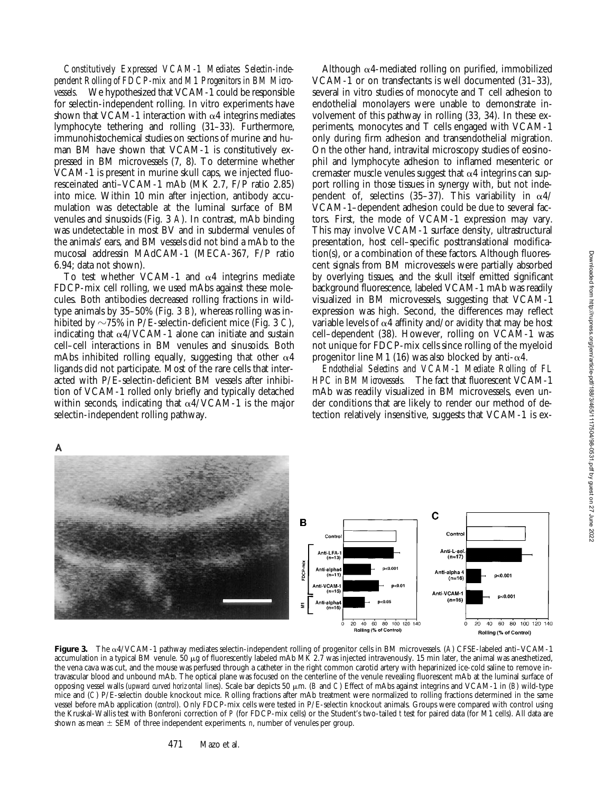*Constitutively Expressed VCAM-1 Mediates Selectin-independent Rolling of FDCP-mix and M1 Progenitors in BM Microvessels.* We hypothesized that VCAM-1 could be responsible for selectin-independent rolling. In vitro experiments have shown that VCAM-1 interaction with  $\alpha$ 4 integrins mediates lymphocyte tethering and rolling (31–33). Furthermore, immunohistochemical studies on sections of murine and human BM have shown that VCAM-1 is constitutively expressed in BM microvessels (7, 8). To determine whether VCAM-1 is present in murine skull caps, we injected fluoresceinated anti–VCAM-1 mAb (MK 2.7, F/P ratio 2.85) into mice. Within 10 min after injection, antibody accumulation was detectable at the luminal surface of BM venules and sinusoids (Fig. 3 *A*). In contrast, mAb binding was undetectable in most BV and in subdermal venules of the animals' ears, and BM vessels did not bind a mAb to the mucosal addressin MAdCAM-1 (MECA-367, F/P ratio 6.94; data not shown).

To test whether VCAM-1 and  $\alpha$ 4 integrins mediate FDCP-mix cell rolling, we used mAbs against these molecules. Both antibodies decreased rolling fractions in wildtype animals by 35–50% (Fig. 3 *B*), whereas rolling was inhibited by  $\sim$ 75% in P/E-selectin-deficient mice (Fig. 3 *C*), indicating that  $\alpha$ 4/VCAM-1 alone can initiate and sustain cell–cell interactions in BM venules and sinusoids. Both mAbs inhibited rolling equally, suggesting that other  $\alpha$ 4 ligands did not participate. Most of the rare cells that interacted with P/E-selectin-deficient BM vessels after inhibition of VCAM-1 rolled only briefly and typically detached within seconds, indicating that  $\alpha$ 4/VCAM-1 is the major selectin-independent rolling pathway.

Although  $\alpha$ 4-mediated rolling on purified, immobilized VCAM-1 or on transfectants is well documented (31–33), several in vitro studies of monocyte and T cell adhesion to endothelial monolayers were unable to demonstrate involvement of this pathway in rolling (33, 34). In these experiments, monocytes and T cells engaged with VCAM-1 only during firm adhesion and transendothelial migration. On the other hand, intravital microscopy studies of eosinophil and lymphocyte adhesion to inflamed mesenteric or cremaster muscle venules suggest that  $\alpha$ 4 integrins can support rolling in those tissues in synergy with, but not independent of, selectins (35-37). This variability in  $\alpha$ 4/ VCAM-1–dependent adhesion could be due to several factors. First, the mode of VCAM-1 expression may vary. This may involve VCAM-1 surface density, ultrastructural presentation, host cell–specific posttranslational modification(s), or a combination of these factors. Although fluorescent signals from BM microvessels were partially absorbed by overlying tissues, and the skull itself emitted significant background fluorescence, labeled VCAM-1 mAb was readily visualized in BM microvessels, suggesting that VCAM-1 expression was high. Second, the differences may reflect variable levels of  $\alpha$ 4 affinity and/or avidity that may be host cell–dependent (38). However, rolling on VCAM-1 was not unique for FDCP-mix cells since rolling of the myeloid progenitor line M1 (16) was also blocked by anti- $\alpha$ 4.

*Endothelial Selectins and VCAM-1 Mediate Rolling of FL HPC in BM Microvessels.* The fact that fluorescent VCAM-1 mAb was readily visualized in BM microvessels, even under conditions that are likely to render our method of detection relatively insensitive, suggests that VCAM-1 is ex-





**Figure 3.** The a4/VCAM-1 pathway mediates selectin-independent rolling of progenitor cells in BM microvessels. (*A*) CFSE-labeled anti–VCAM-1 accumulation in a typical BM venule.  $50 \mu g$  of fluorescently labeled mAb MK 2.7 was injected intravenously. 15 min later, the animal was anesthetized, the vena cava was cut, and the mouse was perfused through a catheter in the right common carotid artery with heparinized ice-cold saline to remove intravascular blood and unbound mAb. The optical plane was focused on the centerline of the venule revealing fluorescent mAb at the luminal surface of opposing vessel walls (*upward curved horizontal lines*). Scale bar depicts 50  $\mu$ m. (*B* and *C*) Effect of mAbs against integrins and VCAM-1 in (*B*) wild-type mice and (*C*) P/E-selectin double knockout mice. Rolling fractions after mAb treatment were normalized to rolling fractions determined in the same vessel before mAb application (*control*). Only FDCP-mix cells were tested in P/E-selectin knockout animals. Groups were compared with control using the Kruskal-Wallis test with Bonferoni correction of *P* (for FDCP-mix cells) or the Student's two-tailed *t* test for paired data (for M1 cells). All data are shown as mean  $\pm$  SEM of three independent experiments. *n*, number of venules per group.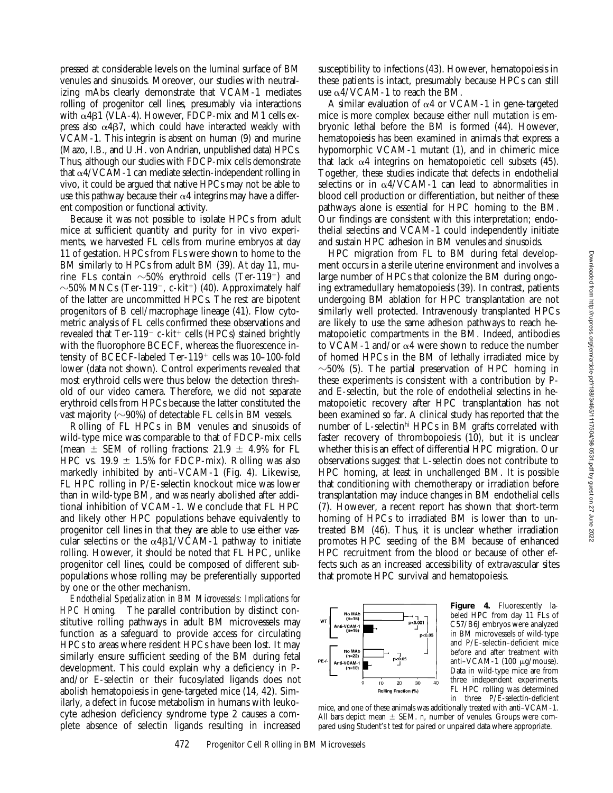pressed at considerable levels on the luminal surface of BM venules and sinusoids. Moreover, our studies with neutralizing mAbs clearly demonstrate that VCAM-1 mediates rolling of progenitor cell lines, presumably via interactions with  $\alpha$ 4 $\beta$ 1 (VLA-4). However, FDCP-mix and M1 cells express also  $\alpha$ 4 $\beta$ 7, which could have interacted weakly with VCAM-1. This integrin is absent on human (9) and murine (Mazo, I.B., and U.H. von Andrian, unpublished data) HPCs. Thus, although our studies with FDCP-mix cells demonstrate that  $\alpha$ 4/VCAM-1 can mediate selectin-independent rolling in vivo, it could be argued that native HPCs may not be able to use this pathway because their  $\alpha$ 4 integrins may have a different composition or functional activity.

Because it was not possible to isolate HPCs from adult mice at sufficient quantity and purity for in vivo experiments, we harvested FL cells from murine embryos at day 11 of gestation. HPCs from FLs were shown to home to the BM similarly to HPCs from adult BM (39). At day 11, murine FLs contain  $\sim$ 50% erythroid cells (Ter-119<sup>+</sup>) and  $\sim$ 50% MNCs (Ter-119<sup>-</sup>, c-kit<sup>+</sup>) (40). Approximately half of the latter are uncommitted HPCs. The rest are bipotent progenitors of B cell/macrophage lineage (41). Flow cytometric analysis of FL cells confirmed these observations and revealed that  $Ter-119^-$  c-kit<sup>+</sup> cells (HPCs) stained brightly with the fluorophore BCECF, whereas the fluorescence intensity of BCECF-labeled Ter-119<sup>+</sup> cells was 10-100-fold lower (data not shown). Control experiments revealed that most erythroid cells were thus below the detection threshold of our video camera. Therefore, we did not separate erythroid cells from HPCs because the latter constituted the vast majority ( $\sim$ 90%) of detectable FL cells in BM vessels.

Rolling of FL HPCs in BM venules and sinusoids of wild-type mice was comparable to that of FDCP-mix cells (mean  $\pm$  SEM of rolling fractions: 21.9  $\pm$  4.9% for FL HPC vs. 19.9  $\pm$  1.5% for FDCP-mix). Rolling was also markedly inhibited by anti–VCAM-1 (Fig. 4). Likewise, FL HPC rolling in P/E-selectin knockout mice was lower than in wild-type BM, and was nearly abolished after additional inhibition of VCAM-1. We conclude that FL HPC and likely other HPC populations behave equivalently to progenitor cell lines in that they are able to use either vascular selectins or the  $\alpha$ 4B1/VCAM-1 pathway to initiate rolling. However, it should be noted that FL HPC, unlike progenitor cell lines, could be composed of different subpopulations whose rolling may be preferentially supported by one or the other mechanism.

*Endothelial Specialization in BM Microvessels: Implications for HPC Homing.* The parallel contribution by distinct constitutive rolling pathways in adult BM microvessels may function as a safeguard to provide access for circulating HPCs to areas where resident HPCs have been lost. It may similarly ensure sufficient seeding of the BM during fetal development. This could explain why a deficiency in Pand/or E-selectin or their fucosylated ligands does not abolish hematopoiesis in gene-targeted mice (14, 42). Similarly, a defect in fucose metabolism in humans with leukocyte adhesion deficiency syndrome type 2 causes a complete absence of selectin ligands resulting in increased

susceptibility to infections (43). However, hematopoiesis in these patients is intact, presumably because HPCs can still use  $\alpha$ 4/VCAM-1 to reach the BM.

A similar evaluation of  $\alpha$ 4 or VCAM-1 in gene-targeted mice is more complex because either null mutation is embryonic lethal before the BM is formed (44). However, hematopoiesis has been examined in animals that express a hypomorphic VCAM-1 mutant (1), and in chimeric mice that lack  $\alpha$ 4 integrins on hematopoietic cell subsets (45). Together, these studies indicate that defects in endothelial selectins or in  $\alpha$ 4/VCAM-1 can lead to abnormalities in blood cell production or differentiation, but neither of these pathways alone is essential for HPC homing to the BM. Our findings are consistent with this interpretation; endothelial selectins and VCAM-1 could independently initiate and sustain HPC adhesion in BM venules and sinusoids.

HPC migration from FL to BM during fetal development occurs in a sterile uterine environment and involves a large number of HPCs that colonize the BM during ongoing extramedullary hematopoiesis (39). In contrast, patients undergoing BM ablation for HPC transplantation are not similarly well protected. Intravenously transplanted HPCs are likely to use the same adhesion pathways to reach hematopoietic compartments in the BM. Indeed, antibodies to VCAM-1 and/or  $\alpha$ 4 were shown to reduce the number of homed HPCs in the BM of lethally irradiated mice by  $\sim$ 50% (5). The partial preservation of HPC homing in these experiments is consistent with a contribution by Pand E-selectin, but the role of endothelial selectins in hematopoietic recovery after HPC transplantation has not been examined so far. A clinical study has reported that the number of L-selectinhi HPCs in BM grafts correlated with faster recovery of thrombopoiesis (10), but it is unclear whether this is an effect of differential HPC migration. Our observations suggest that L-selectin does not contribute to HPC homing, at least in unchallenged BM. It is possible that conditioning with chemotherapy or irradiation before transplantation may induce changes in BM endothelial cells (7). However, a recent report has shown that short-term homing of HPCs to irradiated BM is lower than to untreated BM (46). Thus, it is unclear whether irradiation promotes HPC seeding of the BM because of enhanced HPC recruitment from the blood or because of other effects such as an increased accessibility of extravascular sites that promote HPC survival and hematopoiesis.



**Figure 4.** Fluorescently labeled HPC from day 11 FLs of C57/B6J embryos were analyzed in BM microvessels of wild-type and P/E-selectin–deficient mice before and after treatment with anti-VCAM-1 (100 μg/mouse). Data in wild-type mice are from three independent experiments. FL HPC rolling was determined in three P/E-selectin-deficient

mice, and one of these animals was additionally treated with anti–VCAM-1. All bars depict mean  $\pm$  SEM. *n*, number of venules. Groups were compared using Student's *t* test for paired or unpaired data where appropriate.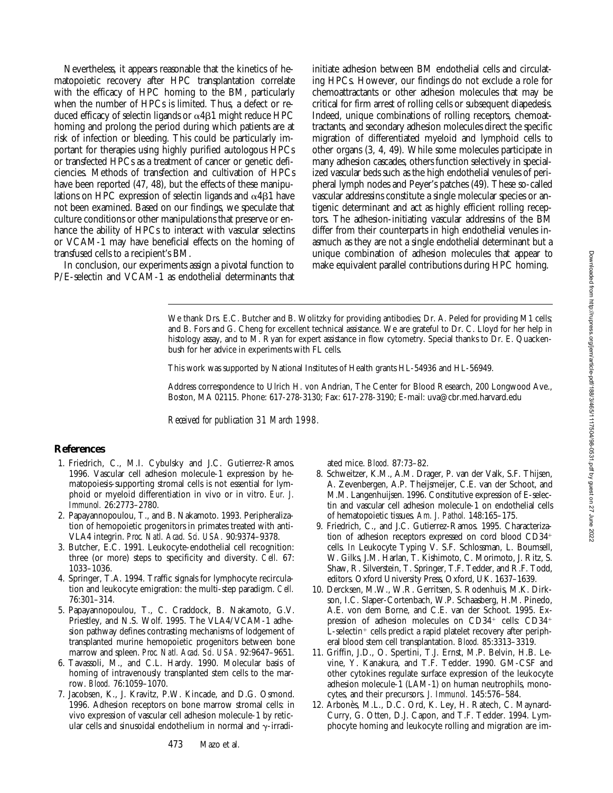Nevertheless, it appears reasonable that the kinetics of hematopoietic recovery after HPC transplantation correlate with the efficacy of HPC homing to the BM, particularly when the number of HPCs is limited. Thus, a defect or reduced efficacy of selectin ligands or  $\alpha$ 4 $\beta$ 1 might reduce HPC homing and prolong the period during which patients are at risk of infection or bleeding. This could be particularly important for therapies using highly purified autologous HPCs or transfected HPCs as a treatment of cancer or genetic deficiencies. Methods of transfection and cultivation of HPCs have been reported (47, 48), but the effects of these manipulations on HPC expression of selectin ligands and  $\alpha$ 4 $\beta$ 1 have not been examined. Based on our findings, we speculate that culture conditions or other manipulations that preserve or enhance the ability of HPCs to interact with vascular selectins or VCAM-1 may have beneficial effects on the homing of transfused cells to a recipient's BM.

In conclusion, our experiments assign a pivotal function to P/E-selectin and VCAM-1 as endothelial determinants that initiate adhesion between BM endothelial cells and circulating HPCs. However, our findings do not exclude a role for chemoattractants or other adhesion molecules that may be critical for firm arrest of rolling cells or subsequent diapedesis. Indeed, unique combinations of rolling receptors, chemoattractants, and secondary adhesion molecules direct the specific migration of differentiated myeloid and lymphoid cells to other organs (3, 4, 49). While some molecules participate in many adhesion cascades, others function selectively in specialized vascular beds such as the high endothelial venules of peripheral lymph nodes and Peyer's patches (49). These so-called vascular addressins constitute a single molecular species or antigenic determinant and act as highly efficient rolling receptors. The adhesion-initiating vascular addressins of the BM differ from their counterparts in high endothelial venules inasmuch as they are not a single endothelial determinant but a unique combination of adhesion molecules that appear to make equivalent parallel contributions during HPC homing.

We thank Drs. E.C. Butcher and B. Wolitzky for providing antibodies; Dr. A. Peled for providing M1 cells; and B. Fors and G. Cheng for excellent technical assistance. We are grateful to Dr. C. Lloyd for her help in histology assay, and to M. Ryan for expert assistance in flow cytometry. Special thanks to Dr. E. Quackenbush for her advice in experiments with FL cells.

This work was supported by National Institutes of Health grants HL-54936 and HL-56949.

Address correspondence to Ulrich H. von Andrian, The Center for Blood Research, 200 Longwood Ave., Boston, MA 02115. Phone: 617-278-3130; Fax: 617-278-3190; E-mail: uva@cbr.med.harvard.edu

*Received for publication 31 March 1998.*

### **References**

- 1. Friedrich, C., M.I. Cybulsky and J.C. Gutierrez-Ramos. 1996. Vascular cell adhesion molecule-1 expression by hematopoiesis-supporting stromal cells is not essential for lymphoid or myeloid differentiation in vivo or in vitro. *Eur. J. Immunol.* 26:2773–2780.
- 2. Papayannopoulou, T., and B. Nakamoto. 1993. Peripheralization of hemopoietic progenitors in primates treated with anti-VLA4 integrin. *Proc. Natl. Acad. Sci. USA.* 90:9374–9378.
- 3. Butcher, E.C. 1991. Leukocyte-endothelial cell recognition: three (or more) steps to specificity and diversity. *Cell.* 67: 1033–1036.
- 4. Springer, T.A. 1994. Traffic signals for lymphocyte recirculation and leukocyte emigration: the multi-step paradigm. *Cell.* 76:301–314.
- 5. Papayannopoulou, T., C. Craddock, B. Nakamoto, G.V. Priestley, and N.S. Wolf. 1995. The VLA4/VCAM-1 adhesion pathway defines contrasting mechanisms of lodgement of transplanted murine hemopoietic progenitors between bone marrow and spleen. *Proc. Natl. Acad. Sci. USA.* 92:9647–9651.
- 6. Tavassoli, M., and C.L. Hardy. 1990. Molecular basis of homing of intravenously transplanted stem cells to the marrow. *Blood.* 76:1059–1070.
- 7. Jacobsen, K., J. Kravitz, P.W. Kincade, and D.G. Osmond. 1996. Adhesion receptors on bone marrow stromal cells: in vivo expression of vascular cell adhesion molecule-1 by reticular cells and sinusoidal endothelium in normal and  $\gamma$ -irradi-

ated mice. *Blood.* 87:73–82.

- 8. Schweitzer, K.M., A.M. Drager, P. van der Valk, S.F. Thijsen, A. Zevenbergen, A.P. Theijsmeijer, C.E. van der Schoot, and M.M. Langenhuijsen. 1996. Constitutive expression of E-selectin and vascular cell adhesion molecule-1 on endothelial cells of hematopoietic tissues. *Am. J. Pathol.* 148:165–175.
- 9. Friedrich, C., and J.C. Gutierrez-Ramos. 1995. Characterization of adhesion receptors expressed on cord blood  $CD34<sup>+</sup>$ cells. *In* Leukocyte Typing V. S.F. Schlossman, L. Boumsell, W. Gilks, J.M. Harlan, T. Kishimoto, C. Morimoto, J. Ritz, S. Shaw, R. Silverstein, T. Springer, T.F. Tedder, and R.F. Todd, editors. Oxford University Press, Oxford, UK. 1637–1639.
- 10. Dercksen, M.W., W.R. Gerritsen, S. Rodenhuis, M.K. Dirkson, I.C. Slaper-Cortenbach, W.P. Schaasberg, H.M. Pinedo, A.E. von dem Borne, and C.E. van der Schoot. 1995. Expression of adhesion molecules on  $CD34^+$  cells:  $CD34^+$  $L$ -selectin<sup>+</sup> cells predict a rapid platelet recovery after peripheral blood stem cell transplantation. *Blood.* 85:3313–3319.
- 11. Griffin, J.D., O. Spertini, T.J. Ernst, M.P. Belvin, H.B. Levine, Y. Kanakura, and T.F. Tedder. 1990. GM-CSF and other cytokines regulate surface expression of the leukocyte adhesion molecule-1 (LAM-1) on human neutrophils, monocytes, and their precursors. *J. Immunol.* 145:576–584.
- 12. Arbonès, M.L., D.C. Ord, K. Ley, H. Ratech, C. Maynard-Curry, G. Otten, D.J. Capon, and T.F. Tedder. 1994. Lymphocyte homing and leukocyte rolling and migration are im-